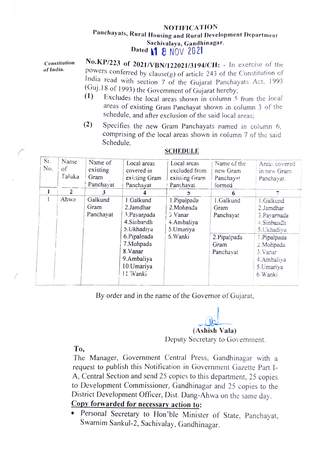## NOTIFICATION Panchayats, Rural Housing and Rural Development Department<br>Sachivalaya, Gandhinagar. Dated 1 8 NOV 2021

Constitution of India.

No.KP/223 of 2021/VBN/122021/3194/CH: - In exercise of the powers conferred by clause(g) of article 243 of the Constitution of India read with section 7 of the Gujarat Panchayats Act, 1993 (Guj.18 of 1993) the Government of Gujarat hereby;<br>(1) Excludes the local grass shown in column 5

- Excludes the local areas shown in column 5 from the local areas of existing Gram Panchayat shown in column 3 of the schedule, and after exclusion of the said local areas
- (2) Specifies the new Gram Panchayats named in column comprising of the local areas shown in column 7 of the said Schedule.

| $S_I$ .<br>N <sub>o</sub> | Name<br>οf<br>Taluka | Name of<br>existing<br>Gram<br>Panchayat | Local areas<br>covered in<br>existing Gram<br>Panchayat | Local areas<br>excluded from<br>existing Gram<br>Panchavat | Name of the<br>new Gram<br>Panchayat<br>formed | Areas covered<br>in new Gram<br>Panchayat. |
|---------------------------|----------------------|------------------------------------------|---------------------------------------------------------|------------------------------------------------------------|------------------------------------------------|--------------------------------------------|
| 1                         | $\tilde{z}$          | 3                                        |                                                         |                                                            | 6                                              |                                            |
|                           | Ahwa                 | Galkund                                  | 1.Galkund                                               | 1.Pipalpada                                                | 1.Galkund                                      | 1.Galkund                                  |
|                           |                      | Gram                                     | 2.Jamdhar                                               | 2. Mohpada                                                 | Gram                                           | 2.Jamdhar                                  |
|                           |                      | Panchayat                                | 3. Payarpada                                            | $3$ Vanar                                                  | Panchayat                                      | 3. Pavarpada                               |
|                           |                      |                                          | 4.Sinbandh                                              | 4.Ambaliya                                                 |                                                | 4.Sinbandh                                 |
|                           |                      |                                          | 5. Ukhadiya                                             | 5.Umariya                                                  |                                                | 5. Ukhadiya                                |
|                           |                      |                                          | 6.Pipalpada                                             | 5. Wanki                                                   | 2.Pipalpada                                    | 1.Pipalpada                                |
|                           |                      |                                          | 7.Mohpada                                               |                                                            | Gram                                           | 2. Mohpada                                 |
|                           |                      |                                          | 8. Vanar                                                |                                                            | Panchayat                                      | 3. Vanar                                   |
|                           |                      |                                          | 9.Ambaliya                                              |                                                            |                                                | 4.Ambaliya                                 |
|                           |                      |                                          | 10. Umariya                                             |                                                            |                                                | 5. Umariya                                 |
|                           |                      |                                          | 11. Wanki                                               |                                                            |                                                | 6. Wanki                                   |
|                           |                      |                                          |                                                         |                                                            |                                                |                                            |

## SCHEDULE

By order and in the name of the Governor of Gujarat,

(Ashish Vala)

Deputy Secretary to Governnent.

To,

The Manager, Government Central Press, Gandhinagar with a request to publish this Notification in Government Gazette Part I-A, Central Section and send 25 copies to this department, 25 copies to Development Commissioner, Gandhinagar and 25 copies to t District Development Officer, Dist. Dang-Ahwa on the same day.<br>Copy forwarded for necessary action to:

Personal Secretary to Hon'ble Minister of State, Panchayat, Swarnim Sankul-2, Sachivalay, Gandhinagar.